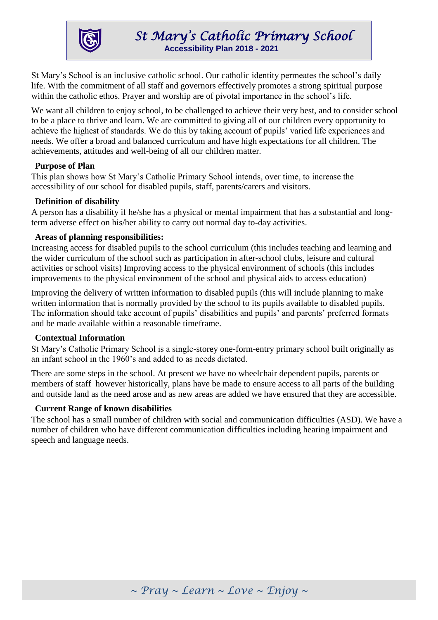

St Mary's School is an inclusive catholic school. Our catholic identity permeates the school's daily life. With the commitment of all staff and governors effectively promotes a strong spiritual purpose within the catholic ethos. Prayer and worship are of pivotal importance in the school's life.

We want all children to enjoy school, to be challenged to achieve their very best, and to consider school to be a place to thrive and learn. We are committed to giving all of our children every opportunity to achieve the highest of standards. We do this by taking account of pupils' varied life experiences and needs. We offer a broad and balanced curriculum and have high expectations for all children. The achievements, attitudes and well-being of all our children matter.

### **Purpose of Plan**

This plan shows how St Mary's Catholic Primary School intends, over time, to increase the accessibility of our school for disabled pupils, staff, parents/carers and visitors.

## **Definition of disability**

A person has a disability if he/she has a physical or mental impairment that has a substantial and longterm adverse effect on his/her ability to carry out normal day to-day activities.

### **Areas of planning responsibilities:**

Increasing access for disabled pupils to the school curriculum (this includes teaching and learning and the wider curriculum of the school such as participation in after-school clubs, leisure and cultural activities or school visits) Improving access to the physical environment of schools (this includes improvements to the physical environment of the school and physical aids to access education)

Improving the delivery of written information to disabled pupils (this will include planning to make written information that is normally provided by the school to its pupils available to disabled pupils. The information should take account of pupils' disabilities and pupils' and parents' preferred formats and be made available within a reasonable timeframe.

#### **Contextual Information**

St Mary's Catholic Primary School is a single-storey one-form-entry primary school built originally as an infant school in the 1960's and added to as needs dictated.

There are some steps in the school. At present we have no wheelchair dependent pupils, parents or members of staff however historically, plans have be made to ensure access to all parts of the building and outside land as the need arose and as new areas are added we have ensured that they are accessible.

#### **Current Range of known disabilities**

The school has a small number of children with social and communication difficulties (ASD). We have a number of children who have different communication difficulties including hearing impairment and speech and language needs.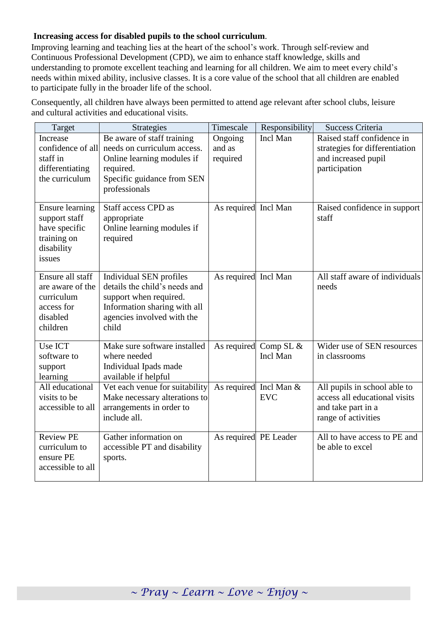## **Increasing access for disabled pupils to the school curriculum**.

Improving learning and teaching lies at the heart of the school's work. Through self-review and Continuous Professional Development (CPD), we aim to enhance staff knowledge, skills and understanding to promote excellent teaching and learning for all children. We aim to meet every child's needs within mixed ability, inclusive classes. It is a core value of the school that all children are enabled to participate fully in the broader life of the school.

Consequently, all children have always been permitted to attend age relevant after school clubs, leisure and cultural activities and educational visits.

| Target                                                                                          | Strategies                                                                                                                                                | Timescale                     | Responsibility                       | <b>Success Criteria</b>                                                                                    |
|-------------------------------------------------------------------------------------------------|-----------------------------------------------------------------------------------------------------------------------------------------------------------|-------------------------------|--------------------------------------|------------------------------------------------------------------------------------------------------------|
| Increase<br>confidence of all<br>staff in<br>differentiating<br>the curriculum                  | Be aware of staff training<br>needs on curriculum access.<br>Online learning modules if<br>required.<br>Specific guidance from SEN<br>professionals       | Ongoing<br>and as<br>required | Incl Man                             | Raised staff confidence in<br>strategies for differentiation<br>and increased pupil<br>participation       |
| <b>Ensure learning</b><br>support staff<br>have specific<br>training on<br>disability<br>issues | Staff access CPD as<br>appropriate<br>Online learning modules if<br>required                                                                              | As required Incl Man          |                                      | Raised confidence in support<br>staff                                                                      |
| Ensure all staff<br>are aware of the<br>curriculum<br>access for<br>disabled<br>children        | Individual SEN profiles<br>details the child's needs and<br>support when required.<br>Information sharing with all<br>agencies involved with the<br>child | As required Incl Man          |                                      | All staff aware of individuals<br>needs                                                                    |
| Use ICT<br>software to<br>support<br>learning                                                   | Make sure software installed<br>where needed<br>Individual Ipads made<br>available if helpful                                                             |                               | As required Comp SL &<br>Incl Man    | Wider use of SEN resources<br>in classrooms                                                                |
| All educational<br>visits to be<br>accessible to all                                            | Vet each venue for suitability<br>Make necessary alterations to<br>arrangements in order to<br>include all.                                               |                               | As required Incl Man &<br><b>EVC</b> | All pupils in school able to<br>access all educational visits<br>and take part in a<br>range of activities |
| <b>Review PE</b><br>curriculum to<br>ensure PE<br>accessible to all                             | Gather information on<br>accessible PT and disability<br>sports.                                                                                          | As required PE Leader         |                                      | All to have access to PE and<br>be able to excel                                                           |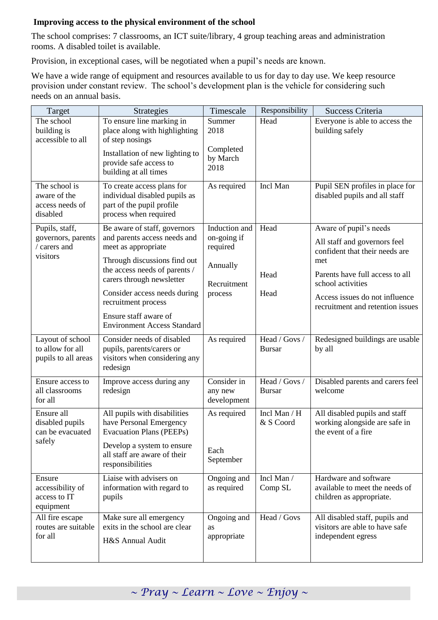# **Improving access to the physical environment of the school**

The school comprises: 7 classrooms, an ICT suite/library, 4 group teaching areas and administration rooms. A disabled toilet is available.

Provision, in exceptional cases, will be negotiated when a pupil's needs are known.

We have a wide range of equipment and resources available to us for day to day use. We keep resource provision under constant review. The school's development plan is the vehicle for considering such needs on an annual basis.

| To ensure line marking in<br>The school<br>Summer<br>Head<br>Everyone is able to access the<br>2018<br>place along with highlighting<br>building safely<br>building is<br>accessible to all<br>of step nosings<br>Completed<br>Installation of new lighting to<br>by March<br>provide safe access to<br>2018<br>building at all times<br>The school is<br>Incl Man<br>To create access plans for<br>As required<br>Pupil SEN profiles in place for<br>aware of the<br>individual disabled pupils as<br>disabled pupils and all staff<br>part of the pupil profile<br>access needs of<br>process when required<br>disabled<br>Aware of pupil's needs<br>Induction and<br>Pupils, staff,<br>Be aware of staff, governors<br>Head<br>and parents access needs and<br>on-going if<br>governors, parents<br>All staff and governors feel<br>/ carers and<br>meet as appropriate<br>required<br>confident that their needs are<br>visitors<br>Through discussions find out<br>met<br>Annually<br>the access needs of parents /<br>Parents have full access to all<br>Head<br>carers through newsletter<br>school activities<br>Recruitment<br>Consider access needs during<br>Head<br>process<br>Access issues do not influence<br>recruitment process<br>recruitment and retention issues<br>Ensure staff aware of<br><b>Environment Access Standard</b><br>Head / Govs /<br>Layout of school<br>Consider needs of disabled<br>Redesigned buildings are usable<br>As required<br>to allow for all<br>pupils, parents/carers or<br><b>Bursar</b><br>by all<br>pupils to all areas<br>visitors when considering any<br>redesign<br>Consider in<br>Head / Govs /<br>Ensure access to<br>Disabled parents and carers feel<br>Improve access during any<br>all classrooms<br>welcome<br>redesign<br>any new<br><b>Bursar</b><br>for all<br>development<br>All pupils with disabilities<br>All disabled pupils and staff<br>Ensure all<br>Incl Man / H<br>As required<br>working alongside are safe in<br>disabled pupils<br>have Personal Emergency<br>& S Coord<br><b>Evacuation Plans (PEEPs)</b><br>the event of a fire<br>can be evacuated<br>safely<br>Develop a system to ensure<br>Each<br>all staff are aware of their<br>September<br>responsibilities<br>Liaise with advisers on<br>Hardware and software<br>Incl Man /<br>Ensure<br>Ongoing and<br>accessibility of<br>information with regard to<br>as required<br>Comp <sub>SL</sub><br>available to meet the needs of<br>access to IT<br>pupils<br>children as appropriate.<br>equipment<br>Make sure all emergency<br>Head / Govs<br>Ongoing and<br>All disabled staff, pupils and<br>All fire escape<br>routes are suitable<br>exits in the school are clear<br>visitors are able to have safe<br><b>as</b><br>for all<br>independent egress<br>appropriate |                  |
|-------------------------------------------------------------------------------------------------------------------------------------------------------------------------------------------------------------------------------------------------------------------------------------------------------------------------------------------------------------------------------------------------------------------------------------------------------------------------------------------------------------------------------------------------------------------------------------------------------------------------------------------------------------------------------------------------------------------------------------------------------------------------------------------------------------------------------------------------------------------------------------------------------------------------------------------------------------------------------------------------------------------------------------------------------------------------------------------------------------------------------------------------------------------------------------------------------------------------------------------------------------------------------------------------------------------------------------------------------------------------------------------------------------------------------------------------------------------------------------------------------------------------------------------------------------------------------------------------------------------------------------------------------------------------------------------------------------------------------------------------------------------------------------------------------------------------------------------------------------------------------------------------------------------------------------------------------------------------------------------------------------------------------------------------------------------------------------------------------------------------------------------------------------------------------------------------------------------------------------------------------------------------------------------------------------------------------------------------------------------------------------------------------------------------------------------------------------------------------------------------------------------------------------------------------------------------------------------------------------------------------------------------------------------------------------------------------------------------------------------------------------------------------------------------------------------|------------------|
|                                                                                                                                                                                                                                                                                                                                                                                                                                                                                                                                                                                                                                                                                                                                                                                                                                                                                                                                                                                                                                                                                                                                                                                                                                                                                                                                                                                                                                                                                                                                                                                                                                                                                                                                                                                                                                                                                                                                                                                                                                                                                                                                                                                                                                                                                                                                                                                                                                                                                                                                                                                                                                                                                                                                                                                                                   |                  |
|                                                                                                                                                                                                                                                                                                                                                                                                                                                                                                                                                                                                                                                                                                                                                                                                                                                                                                                                                                                                                                                                                                                                                                                                                                                                                                                                                                                                                                                                                                                                                                                                                                                                                                                                                                                                                                                                                                                                                                                                                                                                                                                                                                                                                                                                                                                                                                                                                                                                                                                                                                                                                                                                                                                                                                                                                   |                  |
|                                                                                                                                                                                                                                                                                                                                                                                                                                                                                                                                                                                                                                                                                                                                                                                                                                                                                                                                                                                                                                                                                                                                                                                                                                                                                                                                                                                                                                                                                                                                                                                                                                                                                                                                                                                                                                                                                                                                                                                                                                                                                                                                                                                                                                                                                                                                                                                                                                                                                                                                                                                                                                                                                                                                                                                                                   |                  |
|                                                                                                                                                                                                                                                                                                                                                                                                                                                                                                                                                                                                                                                                                                                                                                                                                                                                                                                                                                                                                                                                                                                                                                                                                                                                                                                                                                                                                                                                                                                                                                                                                                                                                                                                                                                                                                                                                                                                                                                                                                                                                                                                                                                                                                                                                                                                                                                                                                                                                                                                                                                                                                                                                                                                                                                                                   |                  |
|                                                                                                                                                                                                                                                                                                                                                                                                                                                                                                                                                                                                                                                                                                                                                                                                                                                                                                                                                                                                                                                                                                                                                                                                                                                                                                                                                                                                                                                                                                                                                                                                                                                                                                                                                                                                                                                                                                                                                                                                                                                                                                                                                                                                                                                                                                                                                                                                                                                                                                                                                                                                                                                                                                                                                                                                                   |                  |
|                                                                                                                                                                                                                                                                                                                                                                                                                                                                                                                                                                                                                                                                                                                                                                                                                                                                                                                                                                                                                                                                                                                                                                                                                                                                                                                                                                                                                                                                                                                                                                                                                                                                                                                                                                                                                                                                                                                                                                                                                                                                                                                                                                                                                                                                                                                                                                                                                                                                                                                                                                                                                                                                                                                                                                                                                   |                  |
|                                                                                                                                                                                                                                                                                                                                                                                                                                                                                                                                                                                                                                                                                                                                                                                                                                                                                                                                                                                                                                                                                                                                                                                                                                                                                                                                                                                                                                                                                                                                                                                                                                                                                                                                                                                                                                                                                                                                                                                                                                                                                                                                                                                                                                                                                                                                                                                                                                                                                                                                                                                                                                                                                                                                                                                                                   |                  |
|                                                                                                                                                                                                                                                                                                                                                                                                                                                                                                                                                                                                                                                                                                                                                                                                                                                                                                                                                                                                                                                                                                                                                                                                                                                                                                                                                                                                                                                                                                                                                                                                                                                                                                                                                                                                                                                                                                                                                                                                                                                                                                                                                                                                                                                                                                                                                                                                                                                                                                                                                                                                                                                                                                                                                                                                                   |                  |
|                                                                                                                                                                                                                                                                                                                                                                                                                                                                                                                                                                                                                                                                                                                                                                                                                                                                                                                                                                                                                                                                                                                                                                                                                                                                                                                                                                                                                                                                                                                                                                                                                                                                                                                                                                                                                                                                                                                                                                                                                                                                                                                                                                                                                                                                                                                                                                                                                                                                                                                                                                                                                                                                                                                                                                                                                   |                  |
|                                                                                                                                                                                                                                                                                                                                                                                                                                                                                                                                                                                                                                                                                                                                                                                                                                                                                                                                                                                                                                                                                                                                                                                                                                                                                                                                                                                                                                                                                                                                                                                                                                                                                                                                                                                                                                                                                                                                                                                                                                                                                                                                                                                                                                                                                                                                                                                                                                                                                                                                                                                                                                                                                                                                                                                                                   |                  |
|                                                                                                                                                                                                                                                                                                                                                                                                                                                                                                                                                                                                                                                                                                                                                                                                                                                                                                                                                                                                                                                                                                                                                                                                                                                                                                                                                                                                                                                                                                                                                                                                                                                                                                                                                                                                                                                                                                                                                                                                                                                                                                                                                                                                                                                                                                                                                                                                                                                                                                                                                                                                                                                                                                                                                                                                                   |                  |
|                                                                                                                                                                                                                                                                                                                                                                                                                                                                                                                                                                                                                                                                                                                                                                                                                                                                                                                                                                                                                                                                                                                                                                                                                                                                                                                                                                                                                                                                                                                                                                                                                                                                                                                                                                                                                                                                                                                                                                                                                                                                                                                                                                                                                                                                                                                                                                                                                                                                                                                                                                                                                                                                                                                                                                                                                   |                  |
|                                                                                                                                                                                                                                                                                                                                                                                                                                                                                                                                                                                                                                                                                                                                                                                                                                                                                                                                                                                                                                                                                                                                                                                                                                                                                                                                                                                                                                                                                                                                                                                                                                                                                                                                                                                                                                                                                                                                                                                                                                                                                                                                                                                                                                                                                                                                                                                                                                                                                                                                                                                                                                                                                                                                                                                                                   |                  |
|                                                                                                                                                                                                                                                                                                                                                                                                                                                                                                                                                                                                                                                                                                                                                                                                                                                                                                                                                                                                                                                                                                                                                                                                                                                                                                                                                                                                                                                                                                                                                                                                                                                                                                                                                                                                                                                                                                                                                                                                                                                                                                                                                                                                                                                                                                                                                                                                                                                                                                                                                                                                                                                                                                                                                                                                                   |                  |
|                                                                                                                                                                                                                                                                                                                                                                                                                                                                                                                                                                                                                                                                                                                                                                                                                                                                                                                                                                                                                                                                                                                                                                                                                                                                                                                                                                                                                                                                                                                                                                                                                                                                                                                                                                                                                                                                                                                                                                                                                                                                                                                                                                                                                                                                                                                                                                                                                                                                                                                                                                                                                                                                                                                                                                                                                   |                  |
|                                                                                                                                                                                                                                                                                                                                                                                                                                                                                                                                                                                                                                                                                                                                                                                                                                                                                                                                                                                                                                                                                                                                                                                                                                                                                                                                                                                                                                                                                                                                                                                                                                                                                                                                                                                                                                                                                                                                                                                                                                                                                                                                                                                                                                                                                                                                                                                                                                                                                                                                                                                                                                                                                                                                                                                                                   |                  |
|                                                                                                                                                                                                                                                                                                                                                                                                                                                                                                                                                                                                                                                                                                                                                                                                                                                                                                                                                                                                                                                                                                                                                                                                                                                                                                                                                                                                                                                                                                                                                                                                                                                                                                                                                                                                                                                                                                                                                                                                                                                                                                                                                                                                                                                                                                                                                                                                                                                                                                                                                                                                                                                                                                                                                                                                                   |                  |
|                                                                                                                                                                                                                                                                                                                                                                                                                                                                                                                                                                                                                                                                                                                                                                                                                                                                                                                                                                                                                                                                                                                                                                                                                                                                                                                                                                                                                                                                                                                                                                                                                                                                                                                                                                                                                                                                                                                                                                                                                                                                                                                                                                                                                                                                                                                                                                                                                                                                                                                                                                                                                                                                                                                                                                                                                   |                  |
|                                                                                                                                                                                                                                                                                                                                                                                                                                                                                                                                                                                                                                                                                                                                                                                                                                                                                                                                                                                                                                                                                                                                                                                                                                                                                                                                                                                                                                                                                                                                                                                                                                                                                                                                                                                                                                                                                                                                                                                                                                                                                                                                                                                                                                                                                                                                                                                                                                                                                                                                                                                                                                                                                                                                                                                                                   |                  |
|                                                                                                                                                                                                                                                                                                                                                                                                                                                                                                                                                                                                                                                                                                                                                                                                                                                                                                                                                                                                                                                                                                                                                                                                                                                                                                                                                                                                                                                                                                                                                                                                                                                                                                                                                                                                                                                                                                                                                                                                                                                                                                                                                                                                                                                                                                                                                                                                                                                                                                                                                                                                                                                                                                                                                                                                                   |                  |
|                                                                                                                                                                                                                                                                                                                                                                                                                                                                                                                                                                                                                                                                                                                                                                                                                                                                                                                                                                                                                                                                                                                                                                                                                                                                                                                                                                                                                                                                                                                                                                                                                                                                                                                                                                                                                                                                                                                                                                                                                                                                                                                                                                                                                                                                                                                                                                                                                                                                                                                                                                                                                                                                                                                                                                                                                   |                  |
|                                                                                                                                                                                                                                                                                                                                                                                                                                                                                                                                                                                                                                                                                                                                                                                                                                                                                                                                                                                                                                                                                                                                                                                                                                                                                                                                                                                                                                                                                                                                                                                                                                                                                                                                                                                                                                                                                                                                                                                                                                                                                                                                                                                                                                                                                                                                                                                                                                                                                                                                                                                                                                                                                                                                                                                                                   |                  |
|                                                                                                                                                                                                                                                                                                                                                                                                                                                                                                                                                                                                                                                                                                                                                                                                                                                                                                                                                                                                                                                                                                                                                                                                                                                                                                                                                                                                                                                                                                                                                                                                                                                                                                                                                                                                                                                                                                                                                                                                                                                                                                                                                                                                                                                                                                                                                                                                                                                                                                                                                                                                                                                                                                                                                                                                                   |                  |
|                                                                                                                                                                                                                                                                                                                                                                                                                                                                                                                                                                                                                                                                                                                                                                                                                                                                                                                                                                                                                                                                                                                                                                                                                                                                                                                                                                                                                                                                                                                                                                                                                                                                                                                                                                                                                                                                                                                                                                                                                                                                                                                                                                                                                                                                                                                                                                                                                                                                                                                                                                                                                                                                                                                                                                                                                   |                  |
|                                                                                                                                                                                                                                                                                                                                                                                                                                                                                                                                                                                                                                                                                                                                                                                                                                                                                                                                                                                                                                                                                                                                                                                                                                                                                                                                                                                                                                                                                                                                                                                                                                                                                                                                                                                                                                                                                                                                                                                                                                                                                                                                                                                                                                                                                                                                                                                                                                                                                                                                                                                                                                                                                                                                                                                                                   |                  |
|                                                                                                                                                                                                                                                                                                                                                                                                                                                                                                                                                                                                                                                                                                                                                                                                                                                                                                                                                                                                                                                                                                                                                                                                                                                                                                                                                                                                                                                                                                                                                                                                                                                                                                                                                                                                                                                                                                                                                                                                                                                                                                                                                                                                                                                                                                                                                                                                                                                                                                                                                                                                                                                                                                                                                                                                                   |                  |
|                                                                                                                                                                                                                                                                                                                                                                                                                                                                                                                                                                                                                                                                                                                                                                                                                                                                                                                                                                                                                                                                                                                                                                                                                                                                                                                                                                                                                                                                                                                                                                                                                                                                                                                                                                                                                                                                                                                                                                                                                                                                                                                                                                                                                                                                                                                                                                                                                                                                                                                                                                                                                                                                                                                                                                                                                   |                  |
|                                                                                                                                                                                                                                                                                                                                                                                                                                                                                                                                                                                                                                                                                                                                                                                                                                                                                                                                                                                                                                                                                                                                                                                                                                                                                                                                                                                                                                                                                                                                                                                                                                                                                                                                                                                                                                                                                                                                                                                                                                                                                                                                                                                                                                                                                                                                                                                                                                                                                                                                                                                                                                                                                                                                                                                                                   |                  |
|                                                                                                                                                                                                                                                                                                                                                                                                                                                                                                                                                                                                                                                                                                                                                                                                                                                                                                                                                                                                                                                                                                                                                                                                                                                                                                                                                                                                                                                                                                                                                                                                                                                                                                                                                                                                                                                                                                                                                                                                                                                                                                                                                                                                                                                                                                                                                                                                                                                                                                                                                                                                                                                                                                                                                                                                                   |                  |
|                                                                                                                                                                                                                                                                                                                                                                                                                                                                                                                                                                                                                                                                                                                                                                                                                                                                                                                                                                                                                                                                                                                                                                                                                                                                                                                                                                                                                                                                                                                                                                                                                                                                                                                                                                                                                                                                                                                                                                                                                                                                                                                                                                                                                                                                                                                                                                                                                                                                                                                                                                                                                                                                                                                                                                                                                   |                  |
|                                                                                                                                                                                                                                                                                                                                                                                                                                                                                                                                                                                                                                                                                                                                                                                                                                                                                                                                                                                                                                                                                                                                                                                                                                                                                                                                                                                                                                                                                                                                                                                                                                                                                                                                                                                                                                                                                                                                                                                                                                                                                                                                                                                                                                                                                                                                                                                                                                                                                                                                                                                                                                                                                                                                                                                                                   |                  |
|                                                                                                                                                                                                                                                                                                                                                                                                                                                                                                                                                                                                                                                                                                                                                                                                                                                                                                                                                                                                                                                                                                                                                                                                                                                                                                                                                                                                                                                                                                                                                                                                                                                                                                                                                                                                                                                                                                                                                                                                                                                                                                                                                                                                                                                                                                                                                                                                                                                                                                                                                                                                                                                                                                                                                                                                                   |                  |
|                                                                                                                                                                                                                                                                                                                                                                                                                                                                                                                                                                                                                                                                                                                                                                                                                                                                                                                                                                                                                                                                                                                                                                                                                                                                                                                                                                                                                                                                                                                                                                                                                                                                                                                                                                                                                                                                                                                                                                                                                                                                                                                                                                                                                                                                                                                                                                                                                                                                                                                                                                                                                                                                                                                                                                                                                   |                  |
|                                                                                                                                                                                                                                                                                                                                                                                                                                                                                                                                                                                                                                                                                                                                                                                                                                                                                                                                                                                                                                                                                                                                                                                                                                                                                                                                                                                                                                                                                                                                                                                                                                                                                                                                                                                                                                                                                                                                                                                                                                                                                                                                                                                                                                                                                                                                                                                                                                                                                                                                                                                                                                                                                                                                                                                                                   |                  |
|                                                                                                                                                                                                                                                                                                                                                                                                                                                                                                                                                                                                                                                                                                                                                                                                                                                                                                                                                                                                                                                                                                                                                                                                                                                                                                                                                                                                                                                                                                                                                                                                                                                                                                                                                                                                                                                                                                                                                                                                                                                                                                                                                                                                                                                                                                                                                                                                                                                                                                                                                                                                                                                                                                                                                                                                                   |                  |
|                                                                                                                                                                                                                                                                                                                                                                                                                                                                                                                                                                                                                                                                                                                                                                                                                                                                                                                                                                                                                                                                                                                                                                                                                                                                                                                                                                                                                                                                                                                                                                                                                                                                                                                                                                                                                                                                                                                                                                                                                                                                                                                                                                                                                                                                                                                                                                                                                                                                                                                                                                                                                                                                                                                                                                                                                   |                  |
|                                                                                                                                                                                                                                                                                                                                                                                                                                                                                                                                                                                                                                                                                                                                                                                                                                                                                                                                                                                                                                                                                                                                                                                                                                                                                                                                                                                                                                                                                                                                                                                                                                                                                                                                                                                                                                                                                                                                                                                                                                                                                                                                                                                                                                                                                                                                                                                                                                                                                                                                                                                                                                                                                                                                                                                                                   |                  |
|                                                                                                                                                                                                                                                                                                                                                                                                                                                                                                                                                                                                                                                                                                                                                                                                                                                                                                                                                                                                                                                                                                                                                                                                                                                                                                                                                                                                                                                                                                                                                                                                                                                                                                                                                                                                                                                                                                                                                                                                                                                                                                                                                                                                                                                                                                                                                                                                                                                                                                                                                                                                                                                                                                                                                                                                                   |                  |
|                                                                                                                                                                                                                                                                                                                                                                                                                                                                                                                                                                                                                                                                                                                                                                                                                                                                                                                                                                                                                                                                                                                                                                                                                                                                                                                                                                                                                                                                                                                                                                                                                                                                                                                                                                                                                                                                                                                                                                                                                                                                                                                                                                                                                                                                                                                                                                                                                                                                                                                                                                                                                                                                                                                                                                                                                   |                  |
|                                                                                                                                                                                                                                                                                                                                                                                                                                                                                                                                                                                                                                                                                                                                                                                                                                                                                                                                                                                                                                                                                                                                                                                                                                                                                                                                                                                                                                                                                                                                                                                                                                                                                                                                                                                                                                                                                                                                                                                                                                                                                                                                                                                                                                                                                                                                                                                                                                                                                                                                                                                                                                                                                                                                                                                                                   |                  |
|                                                                                                                                                                                                                                                                                                                                                                                                                                                                                                                                                                                                                                                                                                                                                                                                                                                                                                                                                                                                                                                                                                                                                                                                                                                                                                                                                                                                                                                                                                                                                                                                                                                                                                                                                                                                                                                                                                                                                                                                                                                                                                                                                                                                                                                                                                                                                                                                                                                                                                                                                                                                                                                                                                                                                                                                                   | H&S Annual Audit |
|                                                                                                                                                                                                                                                                                                                                                                                                                                                                                                                                                                                                                                                                                                                                                                                                                                                                                                                                                                                                                                                                                                                                                                                                                                                                                                                                                                                                                                                                                                                                                                                                                                                                                                                                                                                                                                                                                                                                                                                                                                                                                                                                                                                                                                                                                                                                                                                                                                                                                                                                                                                                                                                                                                                                                                                                                   |                  |